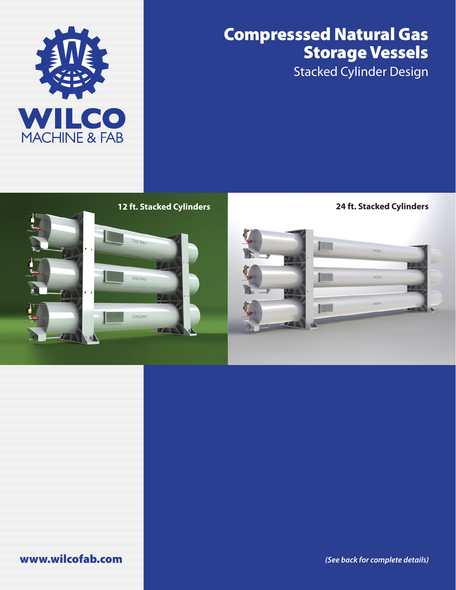

## Compresssed Natural Gas Storage Vessels

Stacked Cylinder Design



www.wilcofab.com *(See back for complete details)*